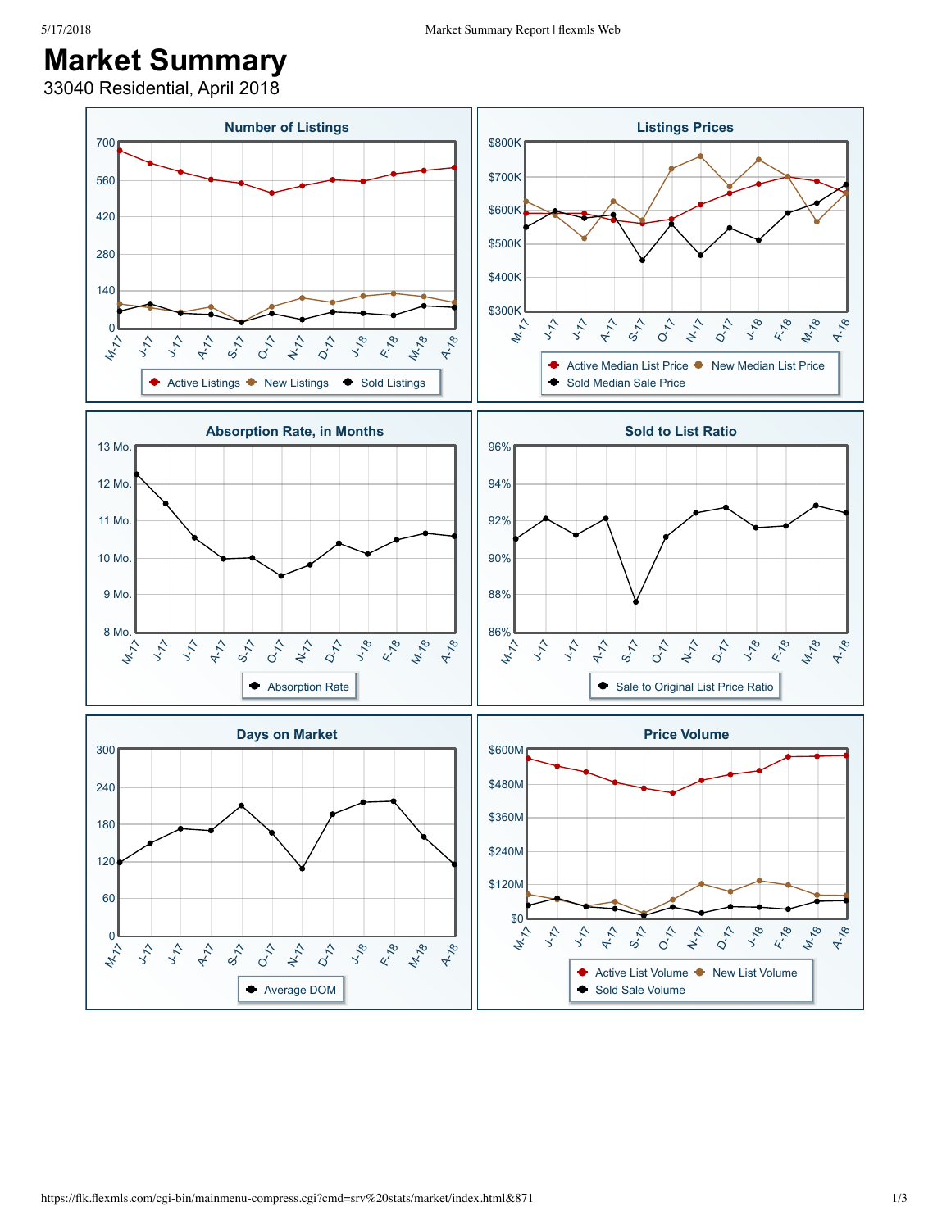## **Market Summary**

33040 Residential, April 2018

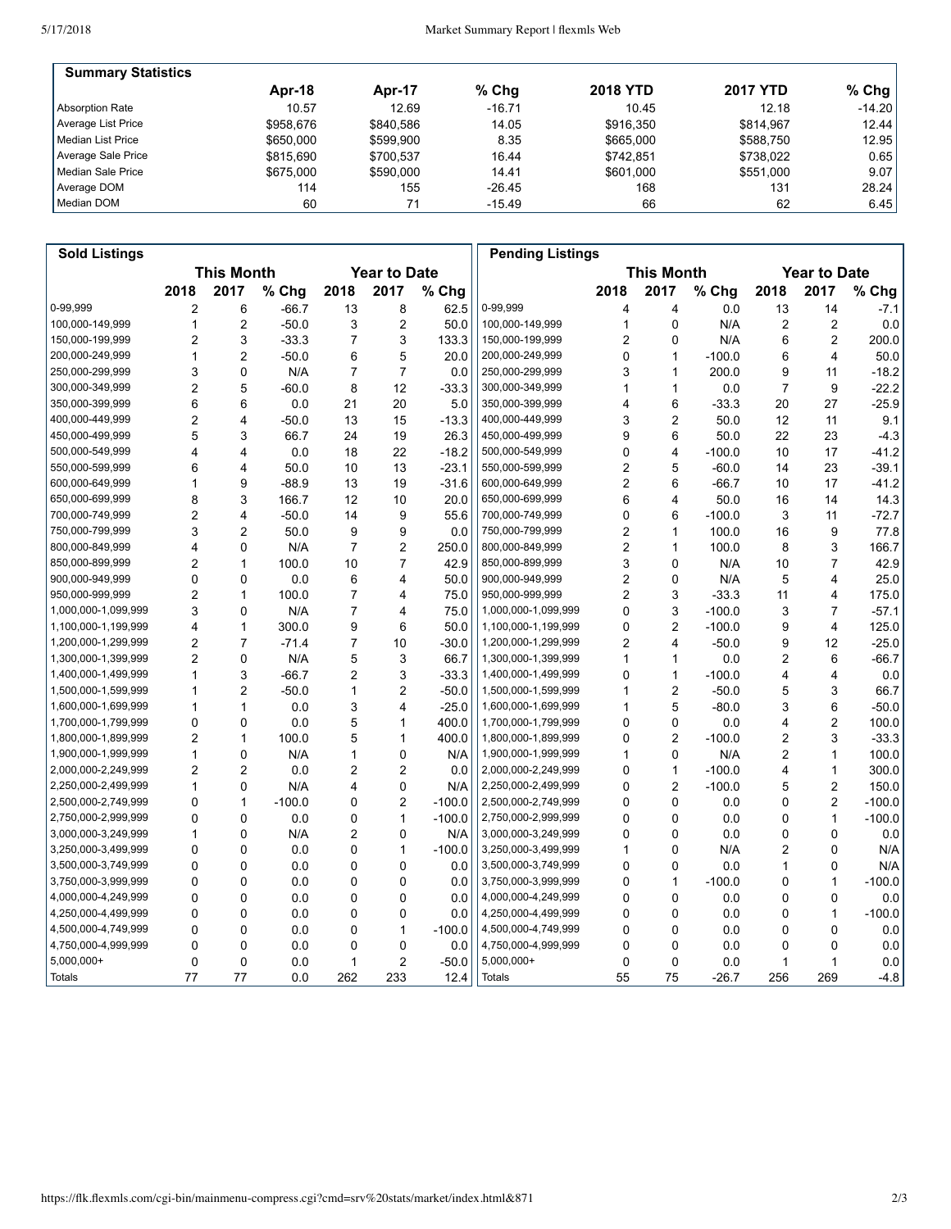| <b>Summary Statistics</b> |           |           |          |                 |                 |          |
|---------------------------|-----------|-----------|----------|-----------------|-----------------|----------|
|                           | Apr-18    | Apr-17    | $%$ Chq  | <b>2018 YTD</b> | <b>2017 YTD</b> | $%$ Chg  |
| Absorption Rate           | 10.57     | 12.69     | $-16.71$ | 10.45           | 12.18           | $-14.20$ |
| Average List Price        | \$958.676 | \$840.586 | 14.05    | \$916,350       | \$814.967       | 12.44    |
| l Median List Price       | \$650,000 | \$599.900 | 8.35     | \$665,000       | \$588.750       | 12.95    |
| Average Sale Price        | \$815,690 | \$700.537 | 16.44    | \$742.851       | \$738.022       | 0.65     |
| Median Sale Price         | \$675,000 | \$590,000 | 14.41    | \$601.000       | \$551,000       | 9.07     |
| Average DOM               | 114       | 155       | $-26.45$ | 168             | 131             | 28.24    |
| Median DOM                | 60        | 71        | $-15.49$ | 66              | 62              | 6.45     |

| <b>Sold Listings</b> |                                          |                         |          |                |                         |                   | <b>Pending Listings</b> |                |                         |          |                     |                |          |
|----------------------|------------------------------------------|-------------------------|----------|----------------|-------------------------|-------------------|-------------------------|----------------|-------------------------|----------|---------------------|----------------|----------|
|                      | <b>This Month</b><br><b>Year to Date</b> |                         |          |                |                         | <b>This Month</b> |                         |                |                         |          | <b>Year to Date</b> |                |          |
|                      | 2018                                     | 2017                    | % Chg    | 2018           | 2017                    | % Chg             |                         | 2018           | 2017                    | % Chg    | 2018                | 2017           | % Chg    |
| 0-99,999             | 2                                        | 6                       | $-66.7$  | 13             | 8                       | 62.5              | 0-99,999                | 4              | 4                       | 0.0      | 13                  | 14             | $-7.1$   |
| 100,000-149,999      | 1                                        | $\overline{2}$          | $-50.0$  | 3              | $\overline{c}$          | 50.0              | 100,000-149,999         | 1              | $\mathbf 0$             | N/A      | 2                   | 2              | 0.0      |
| 150,000-199,999      | 2                                        | 3                       | $-33.3$  | 7              | 3                       | 133.3             | 150,000-199,999         | 2              | 0                       | N/A      | 6                   | 2              | 200.0    |
| 200,000-249,999      | 1                                        | $\overline{2}$          | $-50.0$  | 6              | 5                       | 20.0              | 200,000-249,999         | 0              | $\mathbf{1}$            | $-100.0$ | 6                   | 4              | 50.0     |
| 250,000-299,999      | 3                                        | $\mathbf 0$             | N/A      | $\overline{7}$ | $\overline{7}$          | 0.0               | 250,000-299,999         | 3              | $\mathbf{1}$            | 200.0    | 9                   | 11             | $-18.2$  |
| 300,000-349,999      | 2                                        | 5                       | $-60.0$  | 8              | 12                      | $-33.3$           | 300,000-349,999         | 1              | 1                       | 0.0      | 7                   | 9              | $-22.2$  |
| 350,000-399,999      | 6                                        | 6                       | 0.0      | 21             | 20                      | 5.0               | 350,000-399,999         | 4              | 6                       | -33.3    | 20                  | 27             | $-25.9$  |
| 400,000-449,999      | 2                                        | $\overline{\mathbf{4}}$ | -50.0    | 13             | 15                      | $-13.3$           | 400,000-449,999         | 3              | $\overline{2}$          | 50.0     | 12                  | 11             | 9.1      |
| 450,000-499,999      | 5                                        | 3                       | 66.7     | 24             | 19                      | 26.3              | 450,000-499,999         | 9              | 6                       | 50.0     | 22                  | 23             | $-4.3$   |
| 500,000-549,999      | 4                                        | $\overline{4}$          | 0.0      | 18             | 22                      | $-18.2$           | 500,000-549,999         | 0              | 4                       | $-100.0$ | 10                  | 17             | $-41.2$  |
| 550,000-599,999      | 6                                        | 4                       | 50.0     | 10             | 13                      | $-23.1$           | 550,000-599,999         | $\overline{2}$ | 5                       | $-60.0$  | 14                  | 23             | $-39.1$  |
| 600,000-649,999      | 1                                        | 9                       | $-88.9$  | 13             | 19                      | $-31.6$           | 600,000-649,999         | $\overline{2}$ | 6                       | -66.7    | 10                  | 17             | $-41.2$  |
| 650,000-699,999      | 8                                        | 3                       | 166.7    | 12             | 10                      | 20.0              | 650,000-699,999         | 6              | $\overline{\mathbf{4}}$ | 50.0     | 16                  | 14             | 14.3     |
| 700,000-749,999      | $\overline{2}$                           | 4                       | $-50.0$  | 14             | 9                       | 55.6              | 700,000-749,999         | 0              | 6                       | $-100.0$ | 3                   | 11             | $-72.7$  |
| 750,000-799,999      | 3                                        | $\overline{2}$          | 50.0     | 9              | 9                       | 0.0               | 750,000-799,999         | 2              | $\mathbf{1}$            | 100.0    | 16                  | 9              | 77.8     |
| 800,000-849,999      | 4                                        | 0                       | N/A      | 7              | $\overline{2}$          | 250.0             | 800,000-849,999         | 2              | $\mathbf{1}$            | 100.0    | 8                   | 3              | 166.7    |
| 850,000-899,999      | $\overline{\mathbf{c}}$                  | $\mathbf{1}$            | 100.0    | 10             | $\overline{7}$          | 42.9              | 850,000-899,999         | 3              | $\Omega$                | N/A      | 10                  | $\overline{7}$ | 42.9     |
| 900,000-949,999      | 0                                        | 0                       | 0.0      | 6              | 4                       | 50.0              | 900,000-949,999         | 2              | $\mathbf 0$             | N/A      | 5                   | 4              | 25.0     |
| 950,000-999,999      | $\overline{2}$                           | $\mathbf{1}$            | 100.0    | 7              | 4                       | 75.0              | 950,000-999,999         | 2              | 3                       | $-33.3$  | 11                  | 4              | 175.0    |
| 1,000,000-1,099,999  | 3                                        | $\mathbf 0$             | N/A      | 7              | 4                       | 75.0              | 1,000,000-1,099,999     | 0              | 3                       | $-100.0$ | 3                   | $\overline{7}$ | $-57.1$  |
| 1,100,000-1,199,999  | 4                                        | $\mathbf{1}$            | 300.0    | 9              | 6                       | 50.0              | 1,100,000-1,199,999     | 0              | $\overline{c}$          | $-100.0$ | 9                   | 4              | 125.0    |
| 1,200,000-1,299,999  | $\overline{2}$                           | $\overline{7}$          | $-71.4$  | $\overline{7}$ | 10                      | $-30.0$           | 1,200,000-1,299,999     | 2              | $\overline{\mathbf{4}}$ | $-50.0$  | 9                   | 12             | $-25.0$  |
| 1,300,000-1,399,999  | 2                                        | $\mathbf 0$             | N/A      | 5              | 3                       | 66.7              | 1,300,000-1,399,999     | 1              | $\mathbf{1}$            | 0.0      | 2                   | 6              | $-66.7$  |
| 1,400,000-1,499,999  | 1                                        | 3                       | $-66.7$  | 2              | 3                       | $-33.3$           | 1,400,000-1,499,999     | 0              | $\mathbf{1}$            | $-100.0$ | 4                   | 4              | 0.0      |
| 1,500,000-1,599,999  | 1                                        | $\overline{c}$          | $-50.0$  | 1              | $\overline{c}$          | $-50.0$           | 1,500,000-1,599,999     | 1              | $\overline{2}$          | $-50.0$  | 5                   | 3              | 66.7     |
| 1,600,000-1,699,999  | 1                                        | $\mathbf{1}$            | 0.0      | 3              | $\overline{\mathbf{4}}$ | $-25.0$           | 1,600,000-1,699,999     | 1              | 5                       | $-80.0$  | 3                   | 6              | $-50.0$  |
| 1,700,000-1,799,999  | $\mathbf 0$                              | 0                       | 0.0      | 5              | 1                       | 400.0             | 1,700,000-1,799,999     | 0              | $\mathbf 0$             | 0.0      | 4                   | 2              | 100.0    |
| 1,800,000-1,899,999  | $\overline{2}$                           | $\mathbf{1}$            | 100.0    | 5              | 1                       | 400.0             | 1,800,000-1,899,999     | 0              | $\overline{2}$          | $-100.0$ | 2                   | 3              | $-33.3$  |
| 1,900,000-1,999,999  | 1                                        | 0                       | N/A      | 1              | 0                       | N/A               | 1,900,000-1,999,999     | 1              | 0                       | N/A      | 2                   | 1              | 100.0    |
| 2,000,000-2,249,999  | $\overline{2}$                           | $\overline{2}$          | 0.0      | $\overline{2}$ | $\overline{2}$          | 0.0               | 2,000,000-2,249,999     | 0              | $\mathbf{1}$            | $-100.0$ | 4                   | $\mathbf{1}$   | 300.0    |
| 2,250,000-2,499,999  | 1                                        | 0                       | N/A      | 4              | 0                       | N/A               | 2,250,000-2,499,999     | 0              | $\overline{2}$          | $-100.0$ | 5                   | 2              | 150.0    |
| 2,500,000-2,749,999  | 0                                        | $\mathbf{1}$            | $-100.0$ | 0              | $\overline{2}$          | $-100.0$          | 2,500,000-2,749,999     | 0              | $\mathbf 0$             | 0.0      | 0                   | 2              | $-100.0$ |
| 2,750,000-2,999,999  | 0                                        | 0                       | 0.0      | 0              | 1                       | $-100.0$          | 2,750,000-2,999,999     | 0              | 0                       | 0.0      | 0                   | 1              | $-100.0$ |
| 3,000,000-3,249,999  | $\mathbf{1}$                             | 0                       | N/A      | $\overline{2}$ | 0                       | N/A               | 3,000,000-3,249,999     | 0              | $\mathbf 0$             | 0.0      | 0                   | 0              | 0.0      |
| 3,250,000-3,499,999  | 0                                        | $\mathbf 0$             | 0.0      | 0              | $\mathbf{1}$            | $-100.0$          | 3,250,000-3,499,999     | 1              | 0                       | N/A      | 2                   | 0              | N/A      |
| 3,500,000-3,749,999  | 0                                        | $\mathbf 0$             | 0.0      | 0              | 0                       | 0.0               | 3,500,000-3,749,999     | 0              | 0                       | 0.0      | 1                   | 0              | N/A      |
| 3,750,000-3,999,999  | 0                                        | $\mathbf 0$             | 0.0      | 0              | 0                       | 0.0               | 3,750,000-3,999,999     | 0              | $\mathbf{1}$            | $-100.0$ | 0                   | 1              | $-100.0$ |
| 4,000,000-4,249,999  | 0                                        | 0                       | 0.0      | 0              | 0                       | 0.0               | 4,000,000-4,249,999     | 0              | 0                       | 0.0      | 0                   | 0              | 0.0      |
| 4,250,000-4,499,999  | $\Omega$                                 | $\mathbf 0$             | 0.0      | 0              | 0                       | 0.0               | 4,250,000-4,499,999     | 0              | $\mathbf 0$             | 0.0      | 0                   | 1              | $-100.0$ |
| 4,500,000-4,749,999  | 0                                        | $\mathbf 0$             | 0.0      | 0              | 1                       | $-100.0$          | 4,500,000-4,749,999     | 0              | 0                       | 0.0      | 0                   | 0              | 0.0      |
| 4,750,000-4,999,999  | 0                                        | 0                       | 0.0      | 0              | 0                       | 0.0               | 4,750,000-4,999,999     | 0              | 0                       | 0.0      | 0                   | 0              | 0.0      |
| 5,000,000+           | 0                                        | $\mathbf 0$             | 0.0      | 1              | $\overline{c}$          | $-50.0$           | 5,000,000+              | 0              | $\mathbf 0$             | 0.0      | 1                   | 1              | 0.0      |
| Totals               | 77                                       | 77                      | 0.0      | 262            | 233                     | 12.4              | <b>Totals</b>           | 55             | 75                      | $-26.7$  | 256                 | 269            | $-4.8$   |